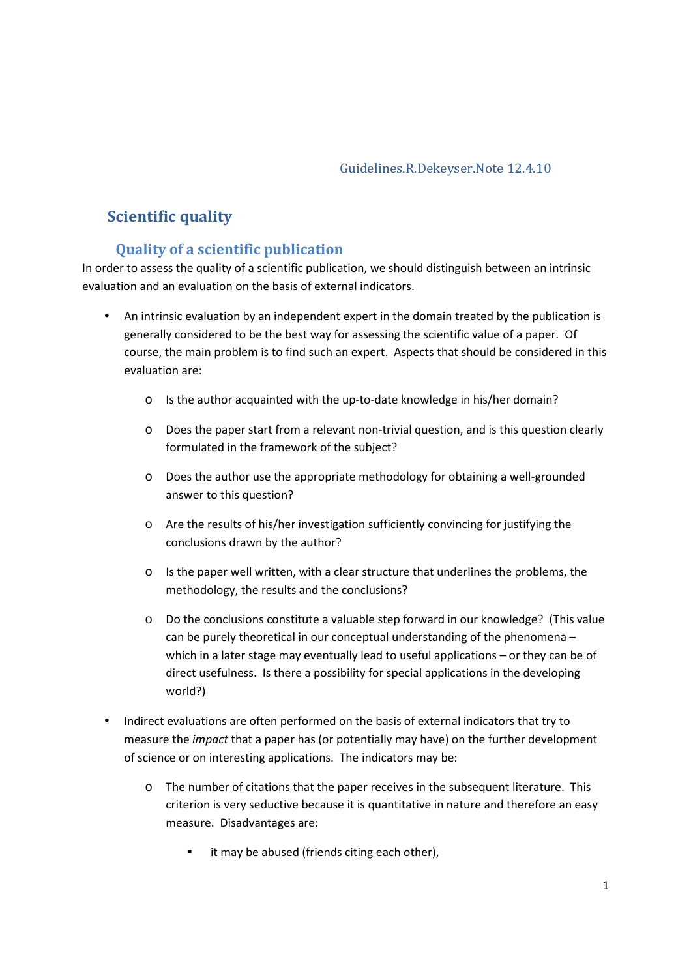#### Guidelines.R.Dekeyser.Note 12.4.10

# **Scientific quality**

# **Quality of a scientific publication**

In order to assess the quality of a scientific publication, we should distinguish between an intrinsic evaluation and an evaluation on the basis of external indicators.

- An intrinsic evaluation by an independent expert in the domain treated by the publication is generally considered to be the best way for assessing the scientific value of a paper. Of course, the main problem is to find such an expert. Aspects that should be considered in this evaluation are:
	- o Is the author acquainted with the up-to-date knowledge in his/her domain?
	- o Does the paper start from a relevant non-trivial question, and is this question clearly formulated in the framework of the subject?
	- o Does the author use the appropriate methodology for obtaining a well-grounded answer to this question?
	- o Are the results of his/her investigation sufficiently convincing for justifying the conclusions drawn by the author?
	- $\circ$  Is the paper well written, with a clear structure that underlines the problems, the methodology, the results and the conclusions?
	- o Do the conclusions constitute a valuable step forward in our knowledge? (This value can be purely theoretical in our conceptual understanding of the phenomena – which in a later stage may eventually lead to useful applications – or they can be of direct usefulness. Is there a possibility for special applications in the developing world?)
- Indirect evaluations are often performed on the basis of external indicators that try to measure the *impact* that a paper has (or potentially may have) on the further development of science or on interesting applications. The indicators may be:
	- o The number of citations that the paper receives in the subsequent literature. This criterion is very seductive because it is quantitative in nature and therefore an easy measure. Disadvantages are:
		- **u** it may be abused (friends citing each other),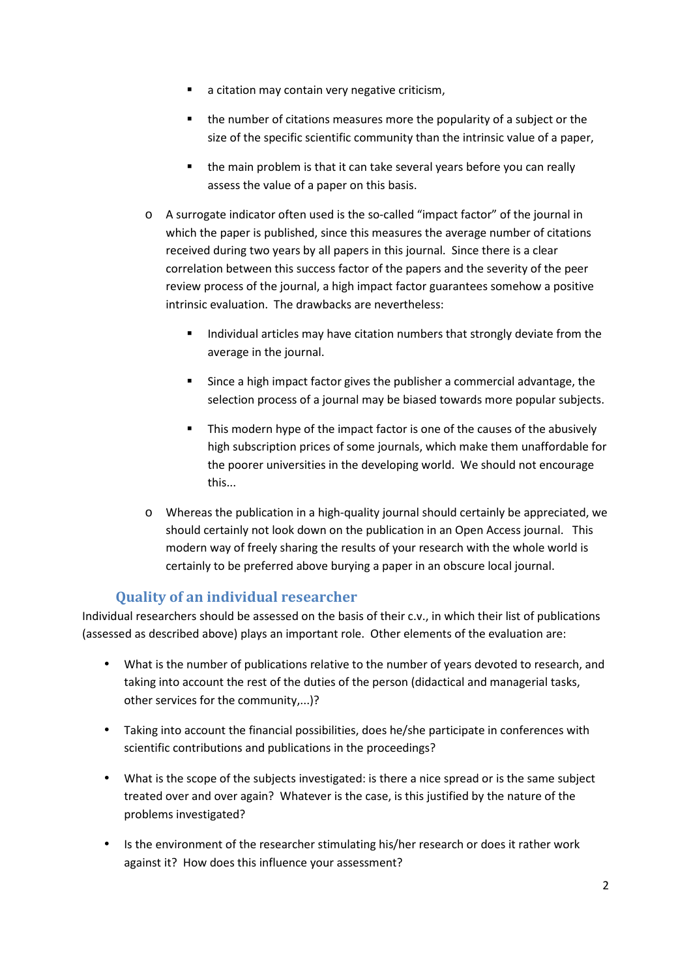- a citation may contain very negative criticism,
- **the number of citations measures more the popularity of a subject or the** size of the specific scientific community than the intrinsic value of a paper,
- **the main problem is that it can take several years before you can really** assess the value of a paper on this basis.
- o A surrogate indicator often used is the so-called "impact factor" of the journal in which the paper is published, since this measures the average number of citations received during two years by all papers in this journal. Since there is a clear correlation between this success factor of the papers and the severity of the peer review process of the journal, a high impact factor guarantees somehow a positive intrinsic evaluation. The drawbacks are nevertheless:
	- Individual articles may have citation numbers that strongly deviate from the average in the journal.
	- **Since a high impact factor gives the publisher a commercial advantage, the** selection process of a journal may be biased towards more popular subjects.
	- This modern hype of the impact factor is one of the causes of the abusively high subscription prices of some journals, which make them unaffordable for the poorer universities in the developing world. We should not encourage this...
- o Whereas the publication in a high-quality journal should certainly be appreciated, we should certainly not look down on the publication in an Open Access journal. This modern way of freely sharing the results of your research with the whole world is certainly to be preferred above burying a paper in an obscure local journal.

# **Quality of an individual researcher**

Individual researchers should be assessed on the basis of their c.v., in which their list of publications (assessed as described above) plays an important role. Other elements of the evaluation are:

- What is the number of publications relative to the number of years devoted to research, and taking into account the rest of the duties of the person (didactical and managerial tasks, other services for the community,...)?
- Taking into account the financial possibilities, does he/she participate in conferences with scientific contributions and publications in the proceedings?
- What is the scope of the subjects investigated: is there a nice spread or is the same subject treated over and over again? Whatever is the case, is this justified by the nature of the problems investigated?
- Is the environment of the researcher stimulating his/her research or does it rather work against it? How does this influence your assessment?